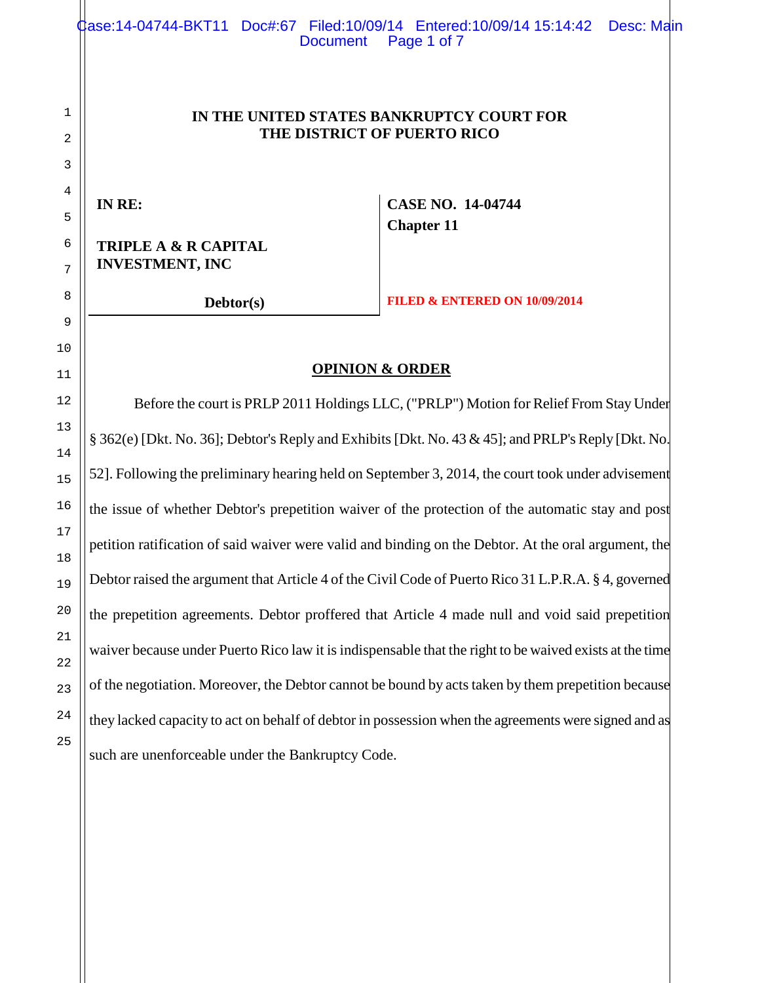1 2 3 4 5 6 7 **IN THE UNITED STATES BANKRUPTCY COURT FOR THE DISTRICT OF PUERTO RICO IN RE: CASE NO. 14-04744 Chapter 11 TRIPLE A & R CAPITAL INVESTMENT, INC Debtor(s) FILED & ENTERED ON 10/09/2014 OPINION & ORDER** Before the court is PRLP 2011 Holdings LLC, ("PRLP") Motion for Relief From Stay Under § 362(e) [Dkt. No. 36]; Debtor's Reply and Exhibits [Dkt. No. 43 & 45]; and PRLP's Reply [Dkt. No. 52]. Following the preliminary hearing held on September 3, 2014, the court took under advisement the issue of whether Debtor's prepetition waiver of the protection of the automatic stay and post petition ratification of said waiver were valid and binding on the Debtor. At the oral argument, the Debtor raised the argument that Article 4 of the Civil Code of Puerto Rico 31 L.P.R.A. § 4, governed the prepetition agreements. Debtor proffered that Article 4 made null and void said prepetition waiver because under Puerto Rico law it is indispensable that the right to be waived exists at the time of the negotiation. Moreover, the Debtor cannot be bound by acts taken by them prepetition because they lacked capacity to act on behalf of debtor in possession when the agreements were signed and as Case:14-04744-BKT11 Doc#:67 Filed:10/09/14 Entered:10/09/14 15:14:42 Desc: Main Document Page 1 of 7

such are unenforceable under the Bankruptcy Code.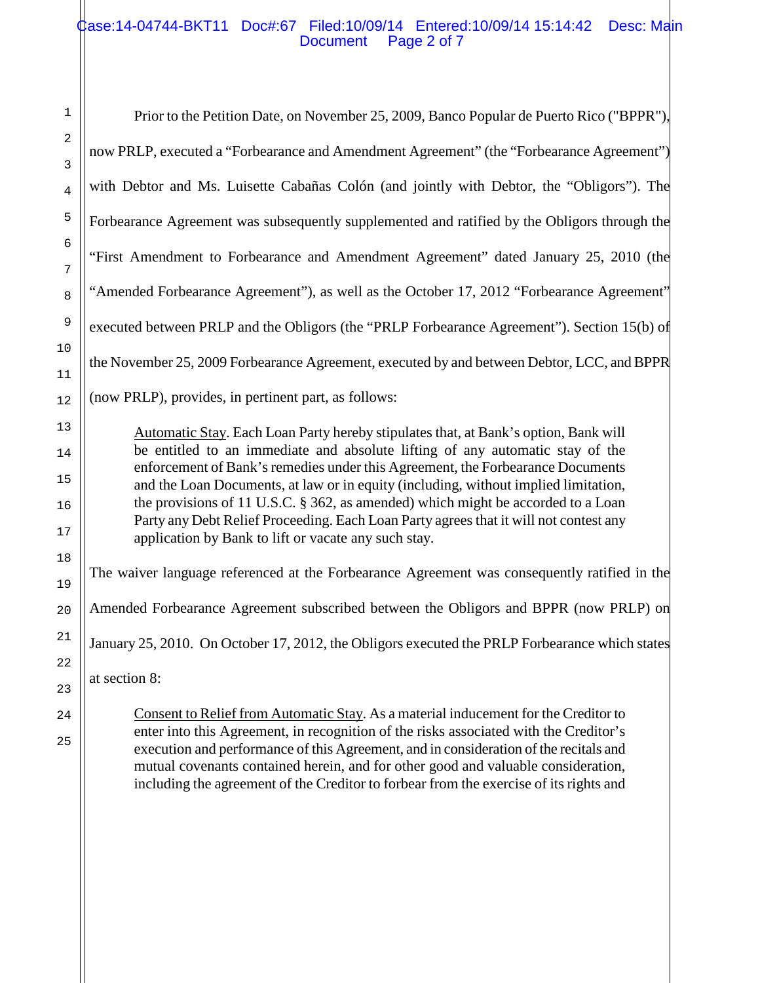# Case:14-04744-BKT11 Doc#:67 Filed:10/09/14 Entered:10/09/14 15:14:42 Desc: Main Document Page 2 of 7

Prior to the Petition Date, on November 25, 2009, Banco Popular de Puerto Rico ("BPPR"), now PRLP, executed a "Forbearance and Amendment Agreement" (the "Forbearance Agreement") with Debtor and Ms. Luisette Cabañas Colón (and jointly with Debtor, the "Obligors"). The Forbearance Agreement was subsequently supplemented and ratified by the Obligors through the "First Amendment to Forbearance and Amendment Agreement" dated January 25, 2010 (the "Amended Forbearance Agreement"), as well as the October 17, 2012 "Forbearance Agreement" executed between PRLP and the Obligors (the "PRLP Forbearance Agreement"). Section 15(b) of the November 25, 2009 Forbearance Agreement, executed by and between Debtor, LCC, and BPPR (now PRLP), provides, in pertinent part, as follows: Automatic Stay. Each Loan Party hereby stipulates that, at Bank's option, Bank will be entitled to an immediate and absolute lifting of any automatic stay of the enforcement of Bank's remedies under this Agreement, the Forbearance Documents and the Loan Documents, at law or in equity (including, without implied limitation, the provisions of 11 U.S.C. § 362, as amended) which might be accorded to a Loan Party any Debt Relief Proceeding. Each Loan Party agrees that it will not contest any application by Bank to lift or vacate any such stay. The waiver language referenced at the Forbearance Agreement was consequently ratified in the Amended Forbearance Agreement subscribed between the Obligors and BPPR (now PRLP) on January 25, 2010. On October 17, 2012, the Obligors executed the PRLP Forbearance which states at section 8:

Consent to Relief from Automatic Stay. As a material inducement for the Creditor to enter into this Agreement, in recognition of the risks associated with the Creditor's execution and performance of this Agreement, and in consideration of the recitals and mutual covenants contained herein, and for other good and valuable consideration, including the agreement of the Creditor to forbear from the exercise of its rights and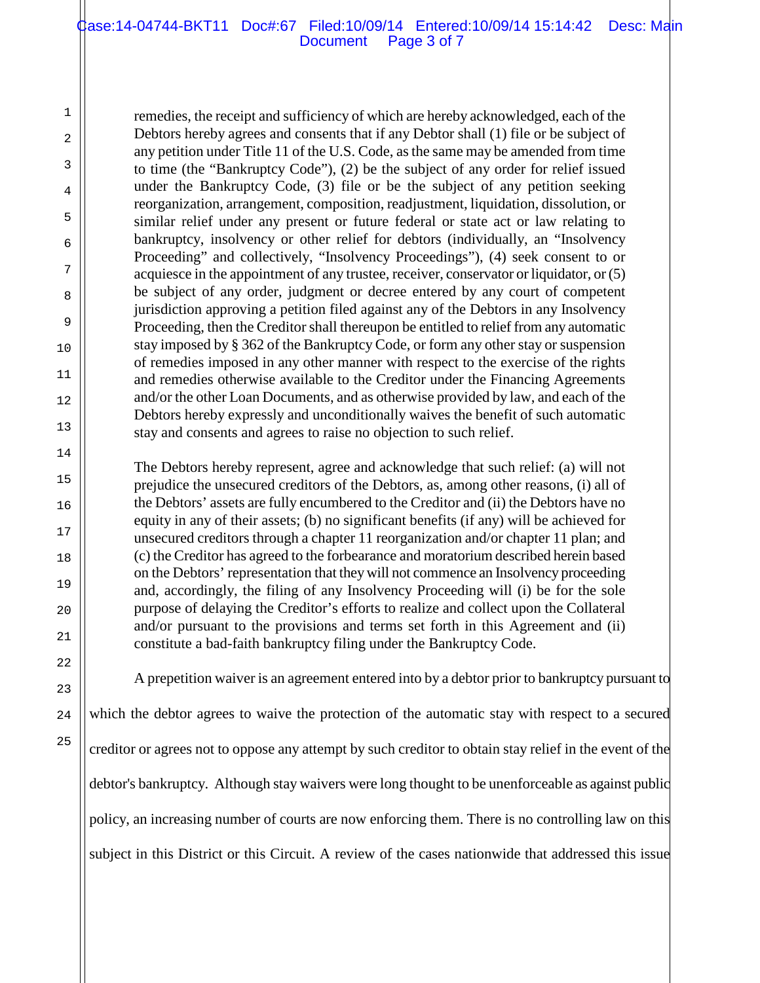# Case:14-04744-BKT11 Doc#:67 Filed:10/09/14 Entered:10/09/14 15:14:42 Desc: Main Document Page 3 of 7

remedies, the receipt and sufficiency of which are hereby acknowledged, each of the Debtors hereby agrees and consents that if any Debtor shall (1) file or be subject of any petition under Title 11 of the U.S. Code, as the same may be amended from time to time (the "Bankruptcy Code"), (2) be the subject of any order for relief issued under the Bankruptcy Code, (3) file or be the subject of any petition seeking reorganization, arrangement, composition, readjustment, liquidation, dissolution, or similar relief under any present or future federal or state act or law relating to bankruptcy, insolvency or other relief for debtors (individually, an "Insolvency Proceeding" and collectively, "Insolvency Proceedings"), (4) seek consent to or acquiesce in the appointment of any trustee, receiver, conservator or liquidator, or (5) be subject of any order, judgment or decree entered by any court of competent jurisdiction approving a petition filed against any of the Debtors in any Insolvency Proceeding, then the Creditor shall thereupon be entitled to relief from any automatic stay imposed by § 362 of the Bankruptcy Code, or form any other stay or suspension of remedies imposed in any other manner with respect to the exercise of the rights and remedies otherwise available to the Creditor under the Financing Agreements and/or the other Loan Documents, and as otherwise provided by law, and each of the Debtors hereby expressly and unconditionally waives the benefit of such automatic stay and consents and agrees to raise no objection to such relief.

The Debtors hereby represent, agree and acknowledge that such relief: (a) will not prejudice the unsecured creditors of the Debtors, as, among other reasons, (i) all of the Debtors' assets are fully encumbered to the Creditor and (ii) the Debtors have no equity in any of their assets; (b) no significant benefits (if any) will be achieved for unsecured creditors through a chapter 11 reorganization and/or chapter 11 plan; and (c) the Creditor has agreed to the forbearance and moratorium described herein based on the Debtors' representation that they will not commence an Insolvency proceeding and, accordingly, the filing of any Insolvency Proceeding will (i) be for the sole purpose of delaying the Creditor's efforts to realize and collect upon the Collateral and/or pursuant to the provisions and terms set forth in this Agreement and (ii) constitute a bad-faith bankruptcy filing under the Bankruptcy Code.

A prepetition waiver is an agreement entered into by a debtor prior to bankruptcy pursuant to which the debtor agrees to waive the protection of the automatic stay with respect to a secured creditor or agrees not to oppose any attempt by such creditor to obtain stay relief in the event of the debtor's bankruptcy. Although stay waivers were long thought to be unenforceable as against public policy, an increasing number of courts are now enforcing them. There is no controlling law on this subject in this District or this Circuit. A review of the cases nationwide that addressed this issue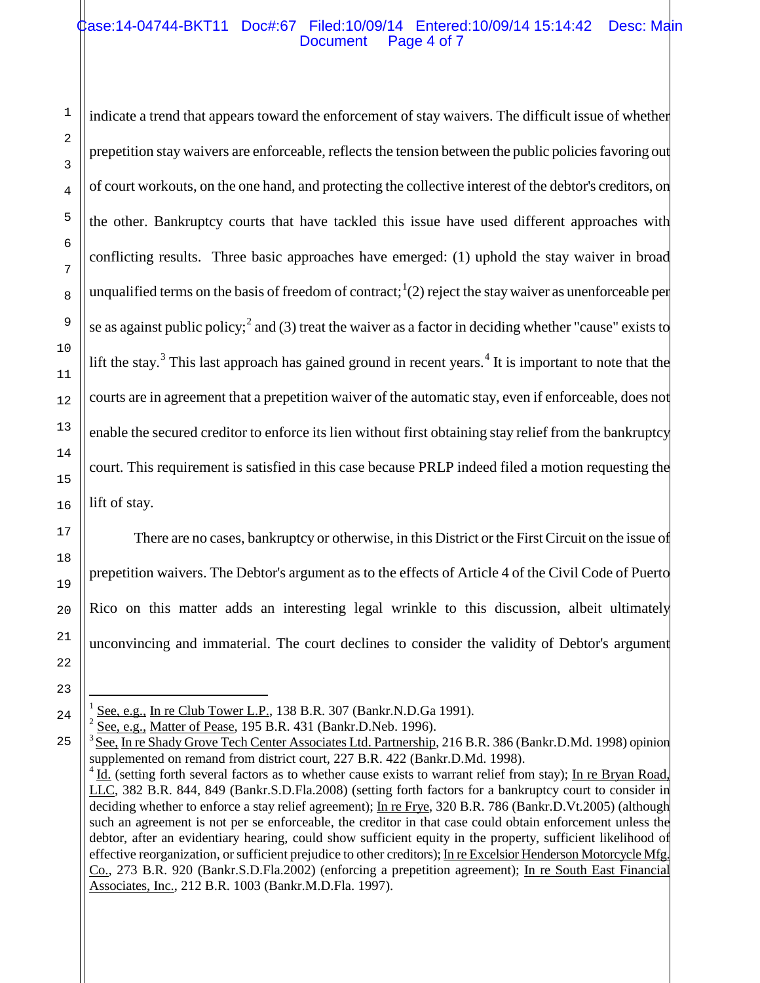# Case:14-04744-BKT11 Doc#:67 Filed:10/09/14 Entered:10/09/14 15:14:42 Desc: Main Document Page 4 of 7

indicate a trend that appears toward the enforcement of stay waivers. The difficult issue of whether prepetition stay waivers are enforceable, reflects the tension between the public policies favoring out of court workouts, on the one hand, and protecting the collective interest of the debtor's creditors, on the other. Bankruptcy courts that have tackled this issue have used different approaches with conflicting results. Three basic approaches have emerged: (1) uphold the stay waiver in broad unqualified terms on the basis of freedom of contract;  $(2)$  reject the stay waiver as unenforceable per se as against public policy;<sup>[2](#page-3-1)</sup> and (3) treat the waiver as a factor in deciding whether "cause" exists to lift the stay.<sup>[3](#page-3-2)</sup> This last approach has gained ground in recent years.<sup>[4](#page-3-3)</sup> It is important to note that the courts are in agreement that a prepetition waiver of the automatic stay, even if enforceable, does not enable the secured creditor to enforce its lien without first obtaining stay relief from the bankruptcy court. This requirement is satisfied in this case because PRLP indeed filed a motion requesting the lift of stay.

There are no cases, bankruptcy or otherwise, in this District or the First Circuit on the issue of prepetition waivers. The Debtor's argument as to the effects of Article 4 of the Civil Code of Puerto Rico on this matter adds an interesting legal wrinkle to this discussion, albeit ultimately unconvincing and immaterial. The court declines to consider the validity of Debtor's argument

See, e.g., Matter of Pease, 195 B.R. 431 (Bankr.D.Neb. 1996).

See, e.g., In re Club Tower L.P., 138 B.R. 307 (Bankr.N.D.Ga 1991).

<span id="page-3-3"></span><span id="page-3-2"></span><span id="page-3-1"></span><span id="page-3-0"></span><sup>&</sup>lt;sup>3</sup> See, In re Shady Grove Tech Center Associates Ltd. Partnership, 216 B.R. 386 (Bankr.D.Md. 1998) opinion supplemented on remand from district court, 227 B.R. 422 (Bankr.D.Md. 1998).

 $4$  Id. (setting forth several factors as to whether cause exists to warrant relief from stay); In re Bryan Road, LLC, 382 B.R. 844, 849 (Bankr.S.D.Fla.2008) (setting forth factors for a bankruptcy court to consider in deciding whether to enforce a stay relief agreement); In re Frye, 320 B.R. 786 (Bankr.D.Vt.2005) (although such an agreement is not per se enforceable, the creditor in that case could obtain enforcement unless the debtor, after an evidentiary hearing, could show sufficient equity in the property, sufficient likelihood of effective reorganization, or sufficient prejudice to other creditors); In re Excelsior Henderson Motorcycle Mfg. Co., 273 B.R. 920 (Bankr.S.D.Fla.2002) (enforcing a prepetition agreement); In re South East Financial Associates, Inc., 212 B.R. 1003 (Bankr.M.D.Fla. 1997).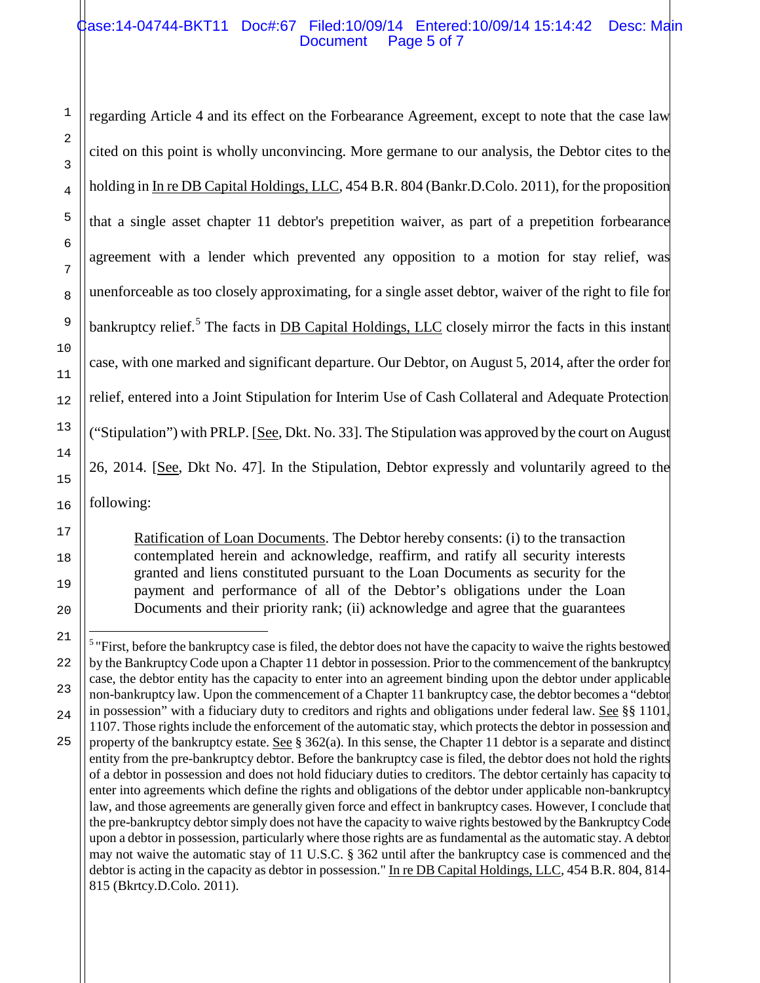# Case:14-04744-BKT11 Doc#:67 Filed:10/09/14 Entered:10/09/14 15:14:42 Desc: Main Document Page 5 of 7

regarding Article 4 and its effect on the Forbearance Agreement, except to note that the case law cited on this point is wholly unconvincing. More germane to our analysis, the Debtor cites to the holding in In re DB Capital Holdings, LLC, 454 B.R. 804 (Bankr.D.Colo. 2011), for the proposition that a single asset chapter 11 debtor's prepetition waiver, as part of a prepetition forbearance agreement with a lender which prevented any opposition to a motion for stay relief, was unenforceable as too closely approximating, for a single asset debtor, waiver of the right to file for bankruptcy relief.<sup>[5](#page-4-0)</sup> The facts in **DB Capital Holdings, LLC** closely mirror the facts in this instant case, with one marked and significant departure. Our Debtor, on August 5, 2014, after the order for relief, entered into a Joint Stipulation for Interim Use of Cash Collateral and Adequate Protection ("Stipulation") with PRLP. [See, Dkt. No. 33]. The Stipulation was approved by the court on August 26, 2014. [See, Dkt No. 47]. In the Stipulation, Debtor expressly and voluntarily agreed to the following:

Ratification of Loan Documents. The Debtor hereby consents: (i) to the transaction contemplated herein and acknowledge, reaffirm, and ratify all security interests granted and liens constituted pursuant to the Loan Documents as security for the payment and performance of all of the Debtor's obligations under the Loan Documents and their priority rank; (ii) acknowledge and agree that the guarantees

<span id="page-4-0"></span><sup>&</sup>lt;sup>5</sup> "First, before the bankruptcy case is filed, the debtor does not have the capacity to waive the rights bestowed by the Bankruptcy Code upon a Chapter 11 debtor in possession. Prior to the commencement of the bankruptcy case, the debtor entity has the capacity to enter into an agreement binding upon the debtor under applicable non-bankruptcy law. Upon the commencement of a Chapter 11 bankruptcy case, the debtor becomes a "debtor in possession" with a fiduciary duty to creditors and rights and obligations under federal law. See §§ 1101, 1107. Those rights include the enforcement of the automatic stay, which protects the debtor in possession and property of the bankruptcy estate. See  $\S 362(a)$ . In this sense, the Chapter 11 debtor is a separate and distinct entity from the pre-bankruptcy debtor. Before the bankruptcy case is filed, the debtor does not hold the rights of a debtor in possession and does not hold fiduciary duties to creditors. The debtor certainly has capacity to enter into agreements which define the rights and obligations of the debtor under applicable non-bankruptcy law, and those agreements are generally given force and effect in bankruptcy cases. However, I conclude that the pre-bankruptcy debtor simply does not have the capacity to waive rights bestowed by the Bankruptcy Code upon a debtor in possession, particularly where those rights are as fundamental as the automatic stay. A debtor may not waive the automatic stay of 11 U.S.C. § 362 until after the bankruptcy case is commenced and the debtor is acting in the capacity as debtor in possession." In re DB Capital Holdings, LLC, 454 B.R. 804, 814-815 (Bkrtcy.D.Colo. 2011).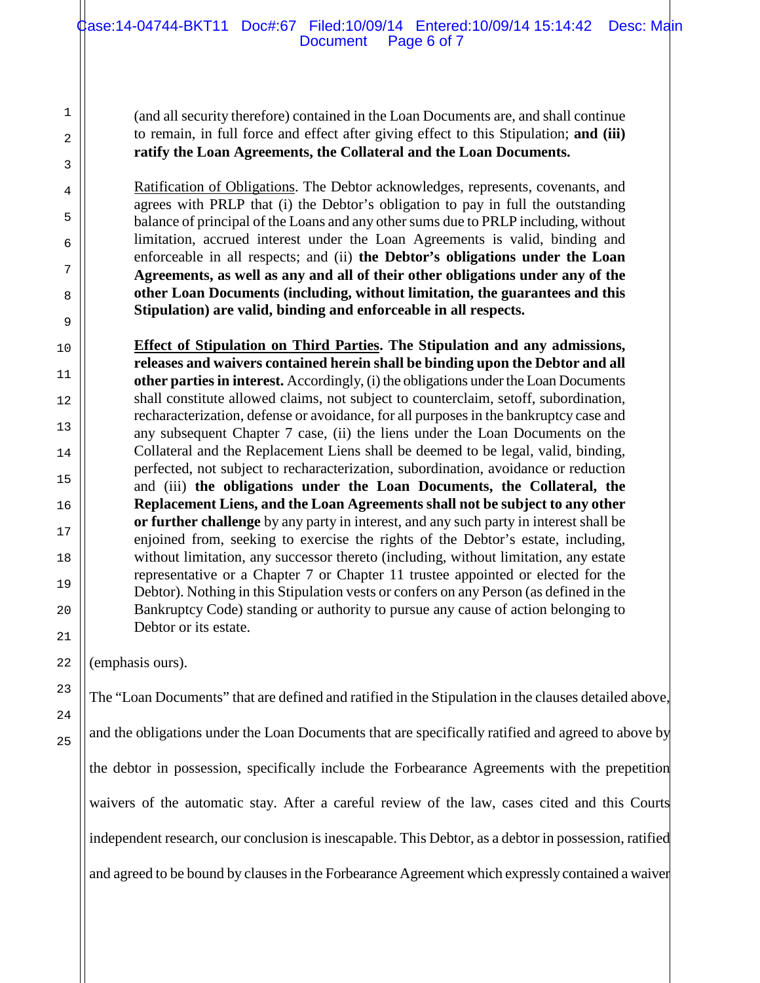(and all security therefore) contained in the Loan Documents are, and shall continue to remain, in full force and effect after giving effect to this Stipulation; **and (iii) ratify the Loan Agreements, the Collateral and the Loan Documents.**

Ratification of Obligations. The Debtor acknowledges, represents, covenants, and agrees with PRLP that (i) the Debtor's obligation to pay in full the outstanding balance of principal of the Loans and any other sums due to PRLP including, without limitation, accrued interest under the Loan Agreements is valid, binding and enforceable in all respects; and (ii) **the Debtor's obligations under the Loan Agreements, as well as any and all of their other obligations under any of the other Loan Documents (including, without limitation, the guarantees and this Stipulation) are valid, binding and enforceable in all respects.**

**Effect of Stipulation on Third Parties. The Stipulation and any admissions, releases and waivers contained herein shall be binding upon the Debtor and all other parties in interest.** Accordingly, (i) the obligations under the Loan Documents shall constitute allowed claims, not subject to counterclaim, setoff, subordination, recharacterization, defense or avoidance, for all purposes in the bankruptcy case and any subsequent Chapter 7 case, (ii) the liens under the Loan Documents on the Collateral and the Replacement Liens shall be deemed to be legal, valid, binding, perfected, not subject to recharacterization, subordination, avoidance or reduction and (iii) **the obligations under the Loan Documents, the Collateral, the Replacement Liens, and the Loan Agreements shall not be subject to any other or further challenge** by any party in interest, and any such party in interest shall be enjoined from, seeking to exercise the rights of the Debtor's estate, including, without limitation, any successor thereto (including, without limitation, any estate representative or a Chapter 7 or Chapter 11 trustee appointed or elected for the Debtor). Nothing in this Stipulation vests or confers on any Person (as defined in the Bankruptcy Code) standing or authority to pursue any cause of action belonging to Debtor or its estate.

(emphasis ours).

The "Loan Documents" that are defined and ratified in the Stipulation in the clauses detailed above, and the obligations under the Loan Documents that are specifically ratified and agreed to above by the debtor in possession, specifically include the Forbearance Agreements with the prepetition waivers of the automatic stay. After a careful review of the law, cases cited and this Courts independent research, our conclusion is inescapable. This Debtor, as a debtor in possession, ratified and agreed to be bound by clauses in the Forbearance Agreement which expressly contained a waiver